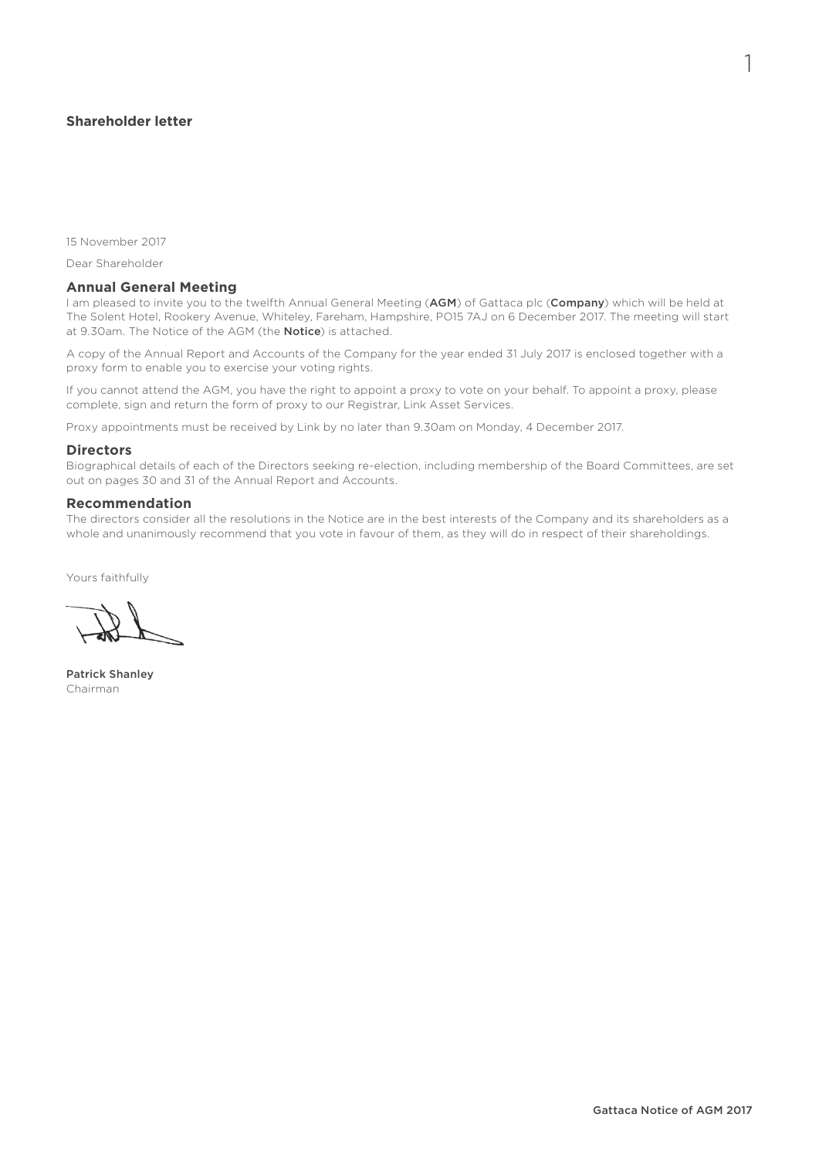# **Shareholder letter**

15 November 2017

Dear Shareholder

## **Annual General Meeting**

I am pleased to invite you to the twelfth Annual General Meeting (AGM) of Gattaca plc (Company) which will be held at The Solent Hotel, Rookery Avenue, Whiteley, Fareham, Hampshire, PO15 7AJ on 6 December 2017. The meeting will start at 9.30am. The Notice of the AGM (the **Notice**) is attached.

A copy of the Annual Report and Accounts of the Company for the year ended 31 July 2017 is enclosed together with a proxy form to enable you to exercise your voting rights.

If you cannot attend the AGM, you have the right to appoint a proxy to vote on your behalf. To appoint a proxy, please complete, sign and return the form of proxy to our Registrar, Link Asset Services.

Proxy appointments must be received by Link by no later than 9.30am on Monday, 4 December 2017.

#### **Directors**

Biographical details of each of the Directors seeking re-election, including membership of the Board Committees, are set out on pages 30 and 31 of the Annual Report and Accounts.

## **Recommendation**

The directors consider all the resolutions in the Notice are in the best interests of the Company and its shareholders as a whole and unanimously recommend that you vote in favour of them, as they will do in respect of their shareholdings.

Yours faithfully

Patrick Shanley Chairman

1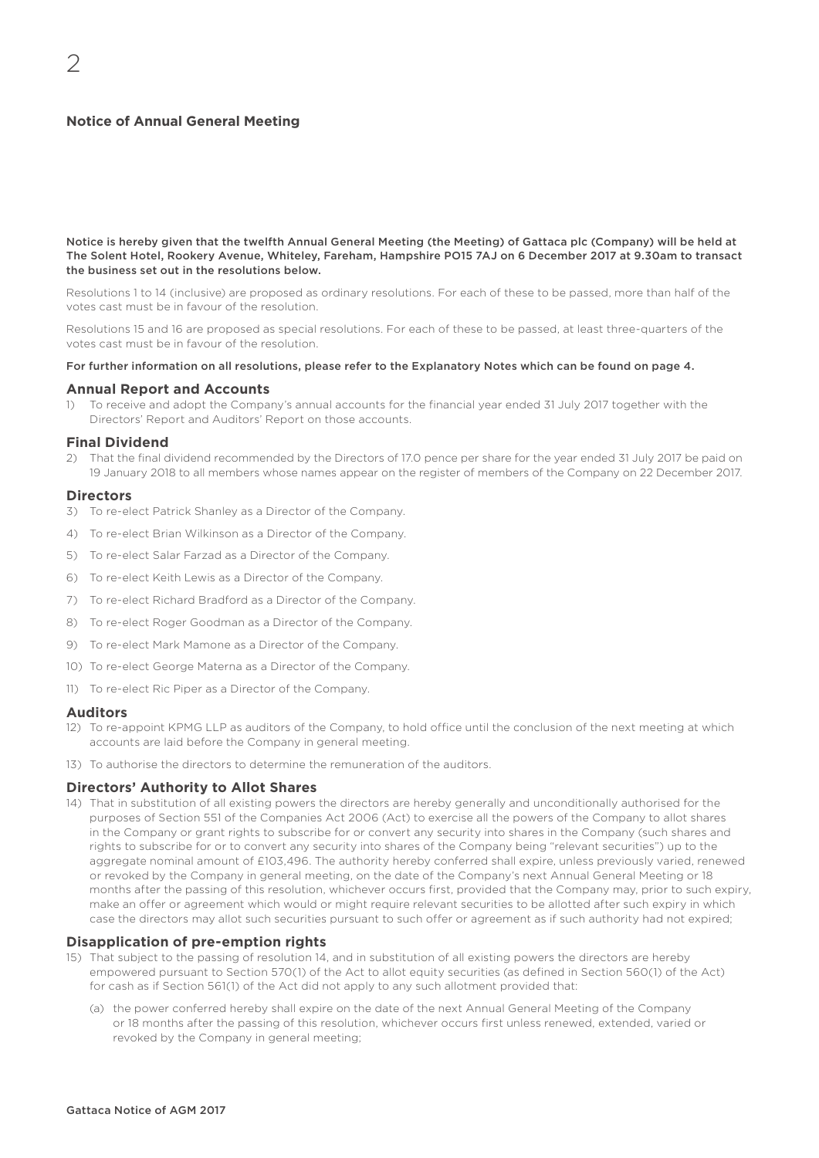# **Notice of Annual General Meeting**

Notice is hereby given that the twelfth Annual General Meeting (the Meeting) of Gattaca plc (Company) will be held at The Solent Hotel, Rookery Avenue, Whiteley, Fareham, Hampshire PO15 7AJ on 6 December 2017 at 9.30am to transact the business set out in the resolutions below.

Resolutions 1 to 14 (inclusive) are proposed as ordinary resolutions. For each of these to be passed, more than half of the votes cast must be in favour of the resolution.

Resolutions 15 and 16 are proposed as special resolutions. For each of these to be passed, at least three-quarters of the votes cast must be in favour of the resolution.

#### For further information on all resolutions, please refer to the Explanatory Notes which can be found on page 4.

#### **Annual Report and Accounts**

1) To receive and adopt the Company's annual accounts for the financial year ended 31 July 2017 together with the Directors' Report and Auditors' Report on those accounts.

## **Final Dividend**

2) That the final dividend recommended by the Directors of 17.0 pence per share for the year ended 31 July 2017 be paid on 19 January 2018 to all members whose names appear on the register of members of the Company on 22 December 2017.

#### **Directors**

- 3) To re-elect Patrick Shanley as a Director of the Company.
- 4) To re-elect Brian Wilkinson as a Director of the Company.
- 5) To re-elect Salar Farzad as a Director of the Company.
- 6) To re-elect Keith Lewis as a Director of the Company.
- 7) To re-elect Richard Bradford as a Director of the Company.
- 8) To re-elect Roger Goodman as a Director of the Company.
- 9) To re-elect Mark Mamone as a Director of the Company.
- 10) To re-elect George Materna as a Director of the Company.
- 11) To re-elect Ric Piper as a Director of the Company.

#### **Auditors**

- 12) To re-appoint KPMG LLP as auditors of the Company, to hold office until the conclusion of the next meeting at which accounts are laid before the Company in general meeting.
- 13) To authorise the directors to determine the remuneration of the auditors.

## **Directors' Authority to Allot Shares**

14) That in substitution of all existing powers the directors are hereby generally and unconditionally authorised for the purposes of Section 551 of the Companies Act 2006 (Act) to exercise all the powers of the Company to allot shares in the Company or grant rights to subscribe for or convert any security into shares in the Company (such shares and rights to subscribe for or to convert any security into shares of the Company being "relevant securities") up to the aggregate nominal amount of £103,496. The authority hereby conferred shall expire, unless previously varied, renewed or revoked by the Company in general meeting, on the date of the Company's next Annual General Meeting or 18 months after the passing of this resolution, whichever occurs first, provided that the Company may, prior to such expiry, make an offer or agreement which would or might require relevant securities to be allotted after such expiry in which case the directors may allot such securities pursuant to such offer or agreement as if such authority had not expired;

#### **Disapplication of pre-emption rights**

- 15) That subject to the passing of resolution 14, and in substitution of all existing powers the directors are hereby empowered pursuant to Section 570(1) of the Act to allot equity securities (as defined in Section 560(1) of the Act) for cash as if Section 561(1) of the Act did not apply to any such allotment provided that:
	- (a) the power conferred hereby shall expire on the date of the next Annual General Meeting of the Company or 18 months after the passing of this resolution, whichever occurs first unless renewed, extended, varied or revoked by the Company in general meeting;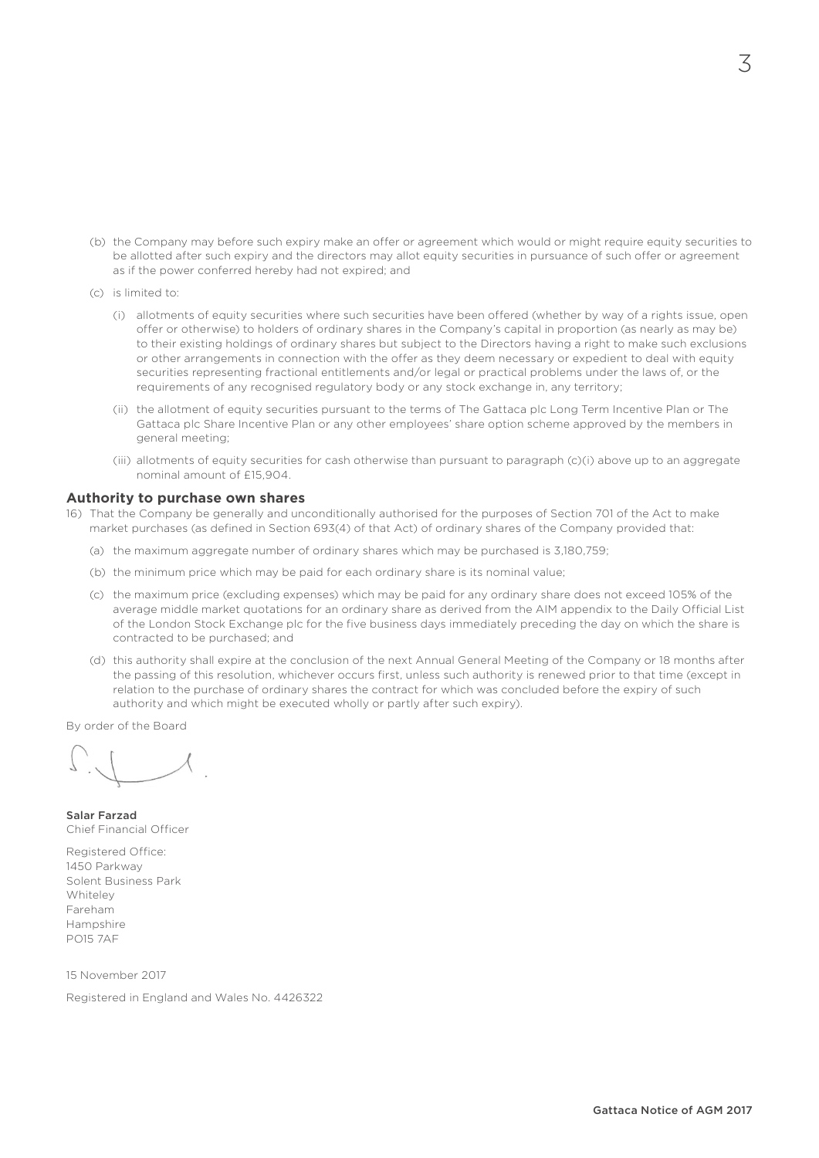- (b) the Company may before such expiry make an offer or agreement which would or might require equity securities to be allotted after such expiry and the directors may allot equity securities in pursuance of such offer or agreement as if the power conferred hereby had not expired; and
- (c) is limited to:
	- (i) allotments of equity securities where such securities have been offered (whether by way of a rights issue, open offer or otherwise) to holders of ordinary shares in the Company's capital in proportion (as nearly as may be) to their existing holdings of ordinary shares but subject to the Directors having a right to make such exclusions or other arrangements in connection with the offer as they deem necessary or expedient to deal with equity securities representing fractional entitlements and/or legal or practical problems under the laws of, or the requirements of any recognised regulatory body or any stock exchange in, any territory;
	- (ii) the allotment of equity securities pursuant to the terms of The Gattaca plc Long Term Incentive Plan or The Gattaca plc Share Incentive Plan or any other employees' share option scheme approved by the members in general meeting;
	- (iii) allotments of equity securities for cash otherwise than pursuant to paragraph (c)(i) above up to an aggregate nominal amount of £15,904.

### **Authority to purchase own shares**

- 16) That the Company be generally and unconditionally authorised for the purposes of Section 701 of the Act to make market purchases (as defined in Section 693(4) of that Act) of ordinary shares of the Company provided that:
	- (a) the maximum aggregate number of ordinary shares which may be purchased is 3,180,759;
	- (b) the minimum price which may be paid for each ordinary share is its nominal value;
	- (c) the maximum price (excluding expenses) which may be paid for any ordinary share does not exceed 105% of the average middle market quotations for an ordinary share as derived from the AIM appendix to the Daily Official List of the London Stock Exchange plc for the five business days immediately preceding the day on which the share is contracted to be purchased; and
	- (d) this authority shall expire at the conclusion of the next Annual General Meeting of the Company or 18 months after the passing of this resolution, whichever occurs first, unless such authority is renewed prior to that time (except in relation to the purchase of ordinary shares the contract for which was concluded before the expiry of such authority and which might be executed wholly or partly after such expiry).

By order of the Board

Salar Farzad Chief Financial Officer

Registered Office: 1450 Parkway Solent Business Park Whiteley Fareham Hampshire PO15 7AF

15 November 2017

Registered in England and Wales No. 4426322